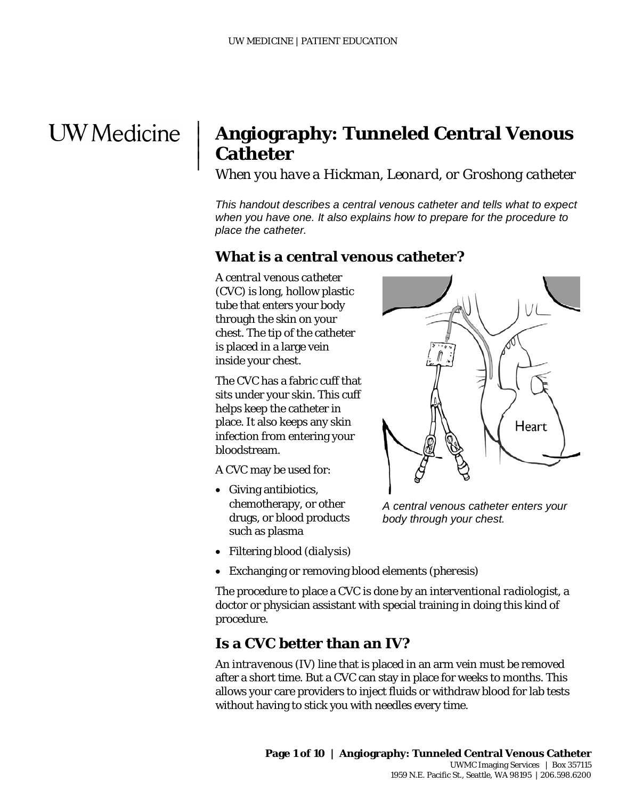## **UW** Medicine

|  $\vert$  $\vert$  $\vert$ 

## **Angiography: Tunneled Central Venous Catheter**

*When you have a Hickman, Leonard, or Groshong catheter*

*This handout describes a central venous catheter and tells what to expect when you have one. It also explains how to prepare for the procedure to place the catheter.*

## **What is a central venous catheter?**

A *central venous catheter* (CVC) is long, hollow plastic tube that enters your body through the skin on your chest. The tip of the catheter is placed in a large vein inside your chest.

The CVC has a fabric cuff that sits under your skin. This cuff helps keep the catheter in place. It also keeps any skin infection from entering your bloodstream.

A CVC may be used for:

• Giving antibiotics, chemotherapy, or other drugs, or blood products such as plasma



*A central venous catheter enters your body through your chest.*

- Filtering blood (*dialysis*)
- Exchanging or removing blood elements (*pheresis*)

The procedure to place a CVC is done by an *interventional radiologist*, a doctor or physician assistant with special training in doing this kind of procedure.

## **Is a CVC better than an IV?**

 $\_$  ,  $\_$  ,  $\_$  ,  $\_$  ,  $\_$  ,  $\_$  ,  $\_$  ,  $\_$  ,  $\_$  ,  $\_$  ,  $\_$  ,  $\_$  ,  $\_$  ,  $\_$  ,  $\_$  ,  $\_$  ,  $\_$  ,  $\_$  ,  $\_$  ,  $\_$  ,  $\_$  ,  $\_$  ,  $\_$  ,  $\_$  ,  $\_$  ,  $\_$  ,  $\_$  ,  $\_$  ,  $\_$  ,  $\_$  ,  $\_$  ,  $\_$  ,  $\_$  ,  $\_$  ,  $\_$  ,  $\_$  ,  $\_$  ,

An *intravenous* (IV) line that is placed in an arm vein must be removed after a short time. But a CVC can stay in place for weeks to months. This allows your care providers to inject fluids or withdraw blood for lab tests without having to stick you with needles every time.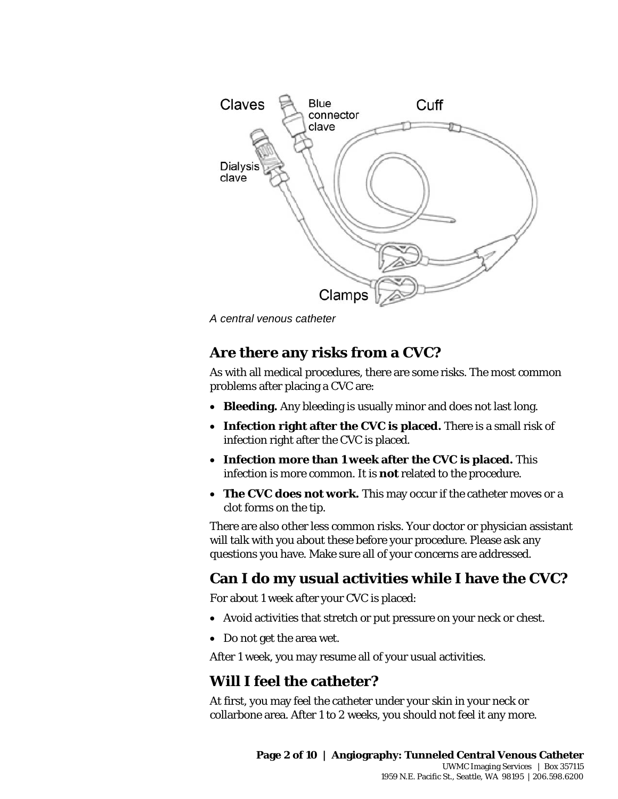

## **Are there any risks from a CVC?**

Clamps<br> *A central venous catheter*<br> **Are there any risks from a CVC?**<br>
As with all medical procedures, there are some risks. The most commo<br>
problems after placing a CVC are:<br>
• **Bleeding**. Any bleeding is usually minor a As with all medical procedures, there are some risks. The most common problems after placing a CVC are:

- **Bleeding.** Any bleeding is usually minor and does not last long.
- **Infection right after the CVC is placed.** There is a small risk of infection right after the CVC is placed.
- **Infection more than 1 week after the CVC is placed.** This infection is more common. It is **not** related to the procedure.
- **The CVC does not work.** This may occur if the catheter moves or a clot forms on the tip.

There are also other less common risks. Your doctor or physician assistant will talk with you about these before your procedure. Please ask any questions you have. Make sure all of your concerns are addressed.

## **Can I do my usual activities while I have the CVC?**

For about 1 week after your CVC is placed:

 $\_$  ,  $\_$  ,  $\_$  ,  $\_$  ,  $\_$  ,  $\_$  ,  $\_$  ,  $\_$  ,  $\_$  ,  $\_$  ,  $\_$  ,  $\_$  ,  $\_$  ,  $\_$  ,  $\_$  ,  $\_$  ,  $\_$  ,  $\_$  ,  $\_$  ,  $\_$  ,  $\_$  ,  $\_$  ,  $\_$  ,  $\_$  ,  $\_$  ,  $\_$  ,  $\_$  ,  $\_$  ,  $\_$  ,  $\_$  ,  $\_$  ,  $\_$  ,  $\_$  ,  $\_$  ,  $\_$  ,  $\_$  ,  $\_$  ,

- Avoid activities that stretch or put pressure on your neck or chest.
- Do not get the area wet.

After 1 week, you may resume all of your usual activities.

## **Will I feel the catheter?**

At first, you may feel the catheter under your skin in your neck or collarbone area. After 1 to 2 weeks, you should not feel it any more.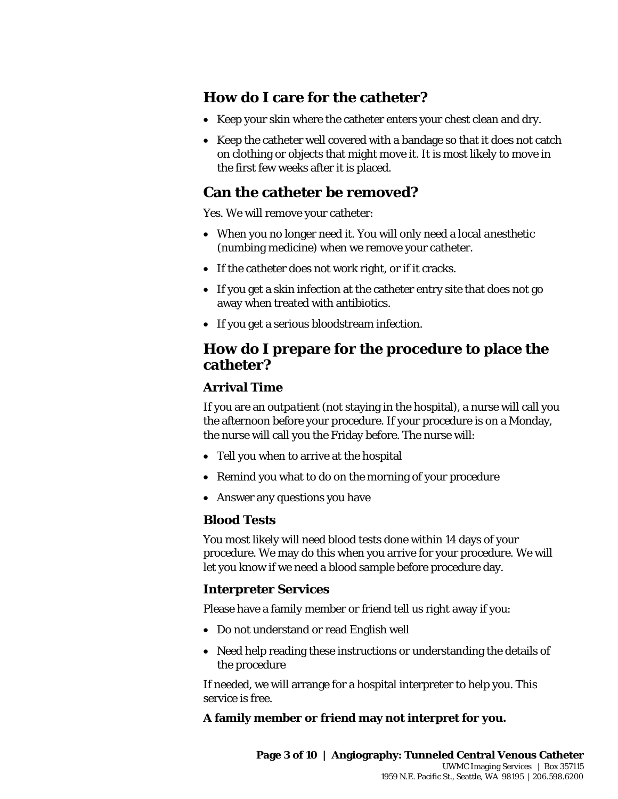## **How do I care for the catheter?**

- Keep your skin where the catheter enters your chest clean and dry.
- Keep the catheter well covered with a bandage so that it does not catch on clothing or objects that might move it. It is most likely to move in the first few weeks after it is placed.

## **Can the catheter be removed?**

Yes. We will remove your catheter:

- When you no longer need it. You will only need a local *anesthetic* (numbing medicine) when we remove your catheter.
- If the catheter does not work right, or if it cracks.
- If you get a skin infection at the catheter entry site that does not go away when treated with antibiotics.
- If you get a serious bloodstream infection.

# • If you get a skin infection at the catheter entry site that does not go<br>away when treated with antibiotics.<br>• If you get a serious bloodstream infection.<br>**How do I prepare for the procedure to place the<br>catheter?**<br>Arriv **How do I prepare for the procedure to place the catheter?**

#### **Arrival Time**

If you are an *outpatient* (not staying in the hospital), a nurse will call you the afternoon before your procedure. If your procedure is on a Monday, the nurse will call you the Friday before. The nurse will:

- Tell you when to arrive at the hospital
- Remind you what to do on the morning of your procedure
- Answer any questions you have

#### **Blood Tests**

You most likely will need blood tests done within 14 days of your procedure. We may do this when you arrive for your procedure. We will let you know if we need a blood sample before procedure day.

#### **Interpreter Services**

Please have a family member or friend tell us right away if you:

• Do not understand or read English well

 $\_$  ,  $\_$  ,  $\_$  ,  $\_$  ,  $\_$  ,  $\_$  ,  $\_$  ,  $\_$  ,  $\_$  ,  $\_$  ,  $\_$  ,  $\_$  ,  $\_$  ,  $\_$  ,  $\_$  ,  $\_$  ,  $\_$  ,  $\_$  ,  $\_$  ,  $\_$  ,  $\_$  ,  $\_$  ,  $\_$  ,  $\_$  ,  $\_$  ,  $\_$  ,  $\_$  ,  $\_$  ,  $\_$  ,  $\_$  ,  $\_$  ,  $\_$  ,  $\_$  ,  $\_$  ,  $\_$  ,  $\_$  ,  $\_$  ,

• Need help reading these instructions or understanding the details of the procedure

If needed, we will arrange for a hospital interpreter to help you. This service is free.

#### **A family member or friend may not interpret for you.**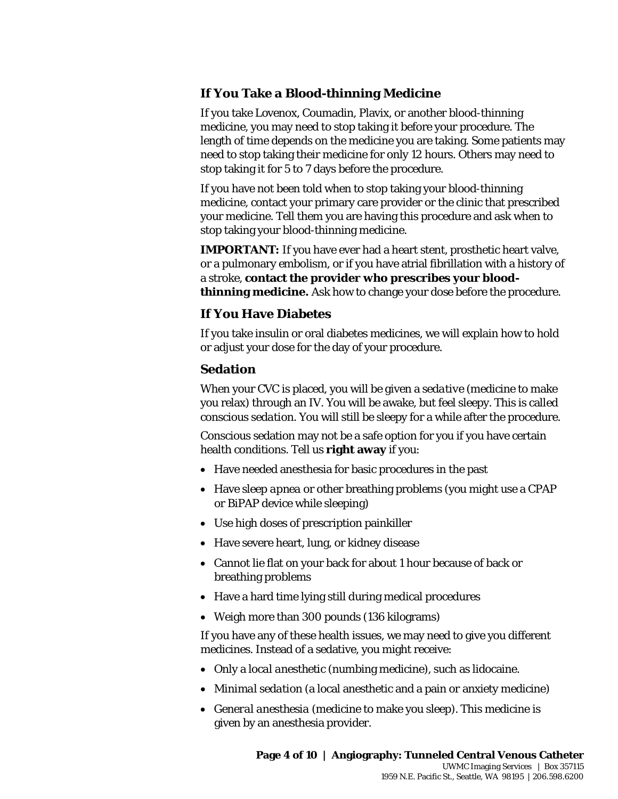#### **If You Take a Blood-thinning Medicine**

If you take Lovenox, Coumadin, Plavix, or another blood-thinning medicine, you may need to stop taking it before your procedure. The length of time depends on the medicine you are taking. Some patients may need to stop taking their medicine for only 12 hours. Others may need to stop taking it for 5 to 7 days before the procedure.

If you have not been told when to stop taking your blood-thinning medicine, contact your primary care provider or the clinic that prescribed your medicine. Tell them you are having this procedure and ask when to stop taking your blood-thinning medicine.

**IMPORTANT:** If you have ever had a heart stent, prosthetic heart valve, or a pulmonary embolism, or if you have atrial fibrillation with a history of a stroke, **contact the provider who prescribes your bloodthinning medicine.** Ask how to change your dose before the procedure.

#### **If You Have Diabetes**

If you take insulin or oral diabetes medicines, we will explain how to hold or adjust your dose for the day of your procedure.

#### **Sedation**

**thinning medicine.** Ask how to change your dose before the procedure **If You Have Diabetes**<br>**If you take insulin or oral diabetes medicines, we will explain how to hold or adjust your dose for the day of your procedure.<br><b>** When your CVC is placed, you will be given a *sedative* (medicine to make you relax) through an IV. You will be awake, but feel sleepy. This is called *conscious sedation*. You will still be sleepy for a while after the procedure.

> Conscious sedation may not be a safe option for you if you have certain health conditions. Tell us **right away** if you:

- Have needed anesthesia for basic procedures in the past
- Have *sleep apnea* or other breathing problems (you might use a CPAP or BiPAP device while sleeping)
- Use high doses of prescription painkiller
- Have severe heart, lung, or kidney disease
- Cannot lie flat on your back for about 1 hour because of back or breathing problems
- Have a hard time lying still during medical procedures
- Weigh more than 300 pounds (136 kilograms)

 $\_$  ,  $\_$  ,  $\_$  ,  $\_$  ,  $\_$  ,  $\_$  ,  $\_$  ,  $\_$  ,  $\_$  ,  $\_$  ,  $\_$  ,  $\_$  ,  $\_$  ,  $\_$  ,  $\_$  ,  $\_$  ,  $\_$  ,  $\_$  ,  $\_$  ,  $\_$  ,  $\_$  ,  $\_$  ,  $\_$  ,  $\_$  ,  $\_$  ,  $\_$  ,  $\_$  ,  $\_$  ,  $\_$  ,  $\_$  ,  $\_$  ,  $\_$  ,  $\_$  ,  $\_$  ,  $\_$  ,  $\_$  ,  $\_$  ,

If you have any of these health issues, we may need to give you different medicines. Instead of a sedative, you might receive:

- Only a *local anesthetic* (numbing medicine), such as lidocaine.
- *Minimal sedation* (a local anesthetic and a pain or anxiety medicine)
- *General anesthesia* (medicine to make you sleep). This medicine is given by an anesthesia provider.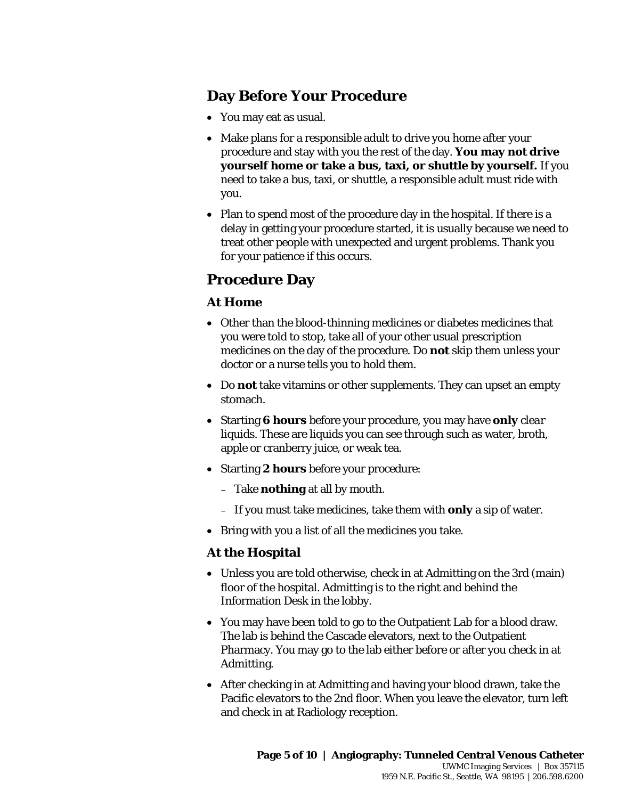## **Day Before Your Procedure**

- You may eat as usual.
- Make plans for a responsible adult to drive you home after your procedure and stay with you the rest of the day. **You may not drive yourself home or take a bus, taxi, or shuttle by yourself.** If you need to take a bus, taxi, or shuttle, a responsible adult must ride with you.
- Plan to spend most of the procedure day in the hospital. If there is a delay in getting your procedure started, it is usually because we need to treat other people with unexpected and urgent problems. Thank you for your patience if this occurs.

## **Procedure Day**

#### **At Home**

- At Home<br>
 Other than the blood-thinning medicines or diabetes medicines that<br>
you were told to stop, take all of your other usual prescription<br>
medicines on the day of the procedure. Do not skip them unless you<br>
doctor or • Other than the blood-thinning medicines or diabetes medicines that you were told to stop, take all of your other usual prescription medicines on the day of the procedure. Do **not** skip them unless your doctor or a nurse tells you to hold them.
	- Do **not** take vitamins or other supplements. They can upset an empty stomach.
	- Starting **6 hours** before your procedure, you may have **only** *clear liquids.* These are liquids you can see through such as water, broth, apple or cranberry juice, or weak tea.
	- Starting **2 hours** before your procedure:

 $\_$  ,  $\_$  ,  $\_$  ,  $\_$  ,  $\_$  ,  $\_$  ,  $\_$  ,  $\_$  ,  $\_$  ,  $\_$  ,  $\_$  ,  $\_$  ,  $\_$  ,  $\_$  ,  $\_$  ,  $\_$  ,  $\_$  ,  $\_$  ,  $\_$  ,  $\_$  ,  $\_$  ,  $\_$  ,  $\_$  ,  $\_$  ,  $\_$  ,  $\_$  ,  $\_$  ,  $\_$  ,  $\_$  ,  $\_$  ,  $\_$  ,  $\_$  ,  $\_$  ,  $\_$  ,  $\_$  ,  $\_$  ,  $\_$  ,

- Take **nothing** at all by mouth.
- If you must take medicines, take them with **only** a sip of water.
- Bring with you a list of all the medicines you take.

#### **At the Hospital**

- Unless you are told otherwise, check in at Admitting on the 3rd (main) floor of the hospital. Admitting is to the right and behind the Information Desk in the lobby.
- You may have been told to go to the Outpatient Lab for a blood draw. The lab is behind the Cascade elevators, next to the Outpatient Pharmacy. You may go to the lab either before or after you check in at Admitting.
- After checking in at Admitting and having your blood drawn, take the Pacific elevators to the 2nd floor. When you leave the elevator, turn left and check in at Radiology reception.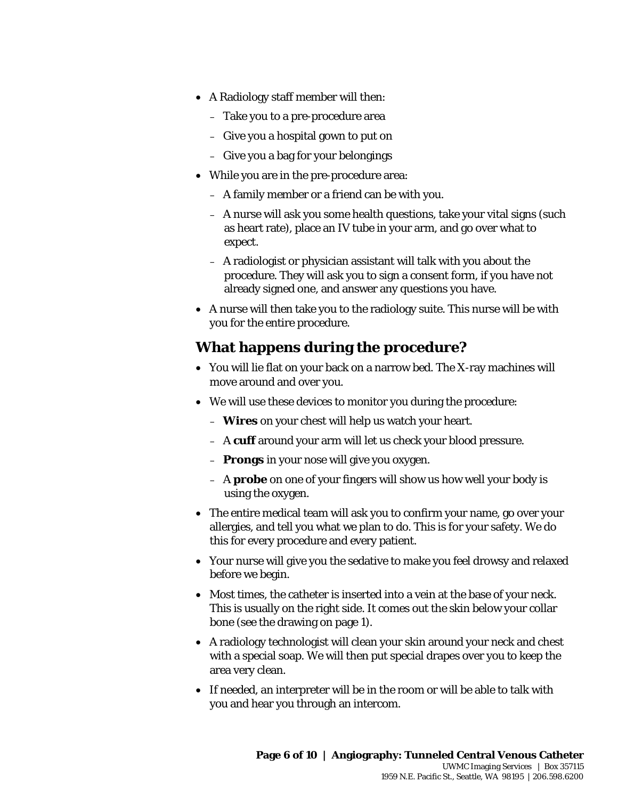- A Radiology staff member will then:
	- Take you to a pre-procedure area
	- Give you a hospital gown to put on
	- Give you a bag for your belongings
- While you are in the pre-procedure area:
	- A family member or a friend can be with you.
	- A nurse will ask you some health questions, take your vital signs (such as heart rate), place an IV tube in your arm, and go over what to expect.
	- A radiologist or physician assistant will talk with you about the procedure. They will ask you to sign a consent form, if you have not already signed one, and answer any questions you have.
- already signed one, and answer any questions you have.<br>
 A nurse will then take you to the radiology suite. This nurse will be with<br>
you for the entire procedure.<br> **What happens during the procedure?**<br>
 You will lie flat • A nurse will then take you to the radiology suite. This nurse will be with you for the entire procedure.

## **What happens during the procedure?**

- You will lie flat on your back on a narrow bed. The X-ray machines will move around and over you.
- We will use these devices to monitor you during the procedure:
	- **Wires** on your chest will help us watch your heart.
	- A **cuff** around your arm will let us check your blood pressure.
	- **Prongs** in your nose will give you oxygen.

 $\_$  ,  $\_$  ,  $\_$  ,  $\_$  ,  $\_$  ,  $\_$  ,  $\_$  ,  $\_$  ,  $\_$  ,  $\_$  ,  $\_$  ,  $\_$  ,  $\_$  ,  $\_$  ,  $\_$  ,  $\_$  ,  $\_$  ,  $\_$  ,  $\_$  ,  $\_$  ,  $\_$  ,  $\_$  ,  $\_$  ,  $\_$  ,  $\_$  ,  $\_$  ,  $\_$  ,  $\_$  ,  $\_$  ,  $\_$  ,  $\_$  ,  $\_$  ,  $\_$  ,  $\_$  ,  $\_$  ,  $\_$  ,  $\_$  ,

- A **probe** on one of your fingers will show us how well your body is using the oxygen.
- The entire medical team will ask you to confirm your name, go over your allergies, and tell you what we plan to do. This is for your safety. We do this for every procedure and every patient.
- Your nurse will give you the sedative to make you feel drowsy and relaxed before we begin.
- Most times, the catheter is inserted into a vein at the base of your neck. This is usually on the right side. It comes out the skin below your collar bone (see the drawing on page 1).
- A radiology technologist will clean your skin around your neck and chest with a special soap. We will then put special drapes over you to keep the area very clean.
- If needed, an interpreter will be in the room or will be able to talk with you and hear you through an intercom.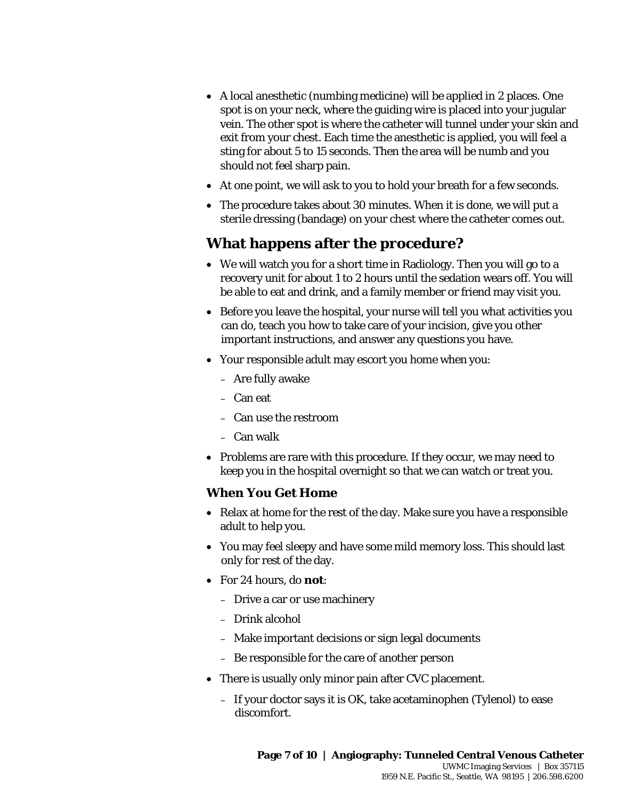- A local anesthetic (numbing medicine) will be applied in 2 places. One spot is on your neck, where the guiding wire is placed into your jugular vein. The other spot is where the catheter will tunnel under your skin and exit from your chest. Each time the anesthetic is applied, you will feel a sting for about 5 to 15 seconds. Then the area will be numb and you should not feel sharp pain.
- At one point, we will ask to you to hold your breath for a few seconds.
- The procedure takes about 30 minutes. When it is done, we will put a sterile dressing (bandage) on your chest where the catheter comes out.

## **What happens after the procedure?**

- We will watch you for a short time in Radiology. Then you will go to a recovery unit for about 1 to 2 hours until the sedation wears off. You will be able to eat and drink, and a family member or friend may visit you.
- be able to eat and drink, and a family member or friend may visit you<br>
 Before you leave the hospital, your nurse will tell you what activities<br>
can do, teach you how to take care of your incision, give you other<br>
importa • Before you leave the hospital, your nurse will tell you what activities you can do, teach you how to take care of your incision, give you other important instructions, and answer any questions you have.
	- Your responsible adult may escort you home when you:
		- Are fully awake
		- Can eat
		- Can use the restroom
		- Can walk
	- Problems are rare with this procedure. If they occur, we may need to keep you in the hospital overnight so that we can watch or treat you.

#### **When You Get Home**

- Relax at home for the rest of the day. Make sure you have a responsible adult to help you.
- You may feel sleepy and have some mild memory loss. This should last only for rest of the day.
- For 24 hours, do **not**:
	- Drive a car or use machinery
	- Drink alcohol
	- Make important decisions or sign legal documents
	- Be responsible for the care of another person

 $\_$  ,  $\_$  ,  $\_$  ,  $\_$  ,  $\_$  ,  $\_$  ,  $\_$  ,  $\_$  ,  $\_$  ,  $\_$  ,  $\_$  ,  $\_$  ,  $\_$  ,  $\_$  ,  $\_$  ,  $\_$  ,  $\_$  ,  $\_$  ,  $\_$  ,  $\_$  ,  $\_$  ,  $\_$  ,  $\_$  ,  $\_$  ,  $\_$  ,  $\_$  ,  $\_$  ,  $\_$  ,  $\_$  ,  $\_$  ,  $\_$  ,  $\_$  ,  $\_$  ,  $\_$  ,  $\_$  ,  $\_$  ,  $\_$  ,

- There is usually only minor pain after CVC placement.
	- If your doctor says it is OK, take acetaminophen (Tylenol) to ease discomfort.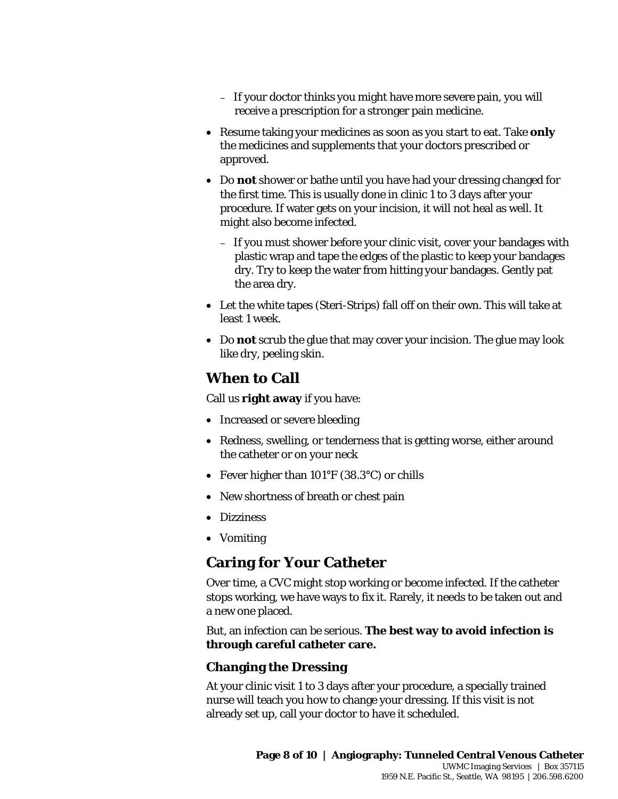- If your doctor thinks you might have more severe pain, you will receive a prescription for a stronger pain medicine.
- Resume taking your medicines as soon as you start to eat. Take **only** the medicines and supplements that your doctors prescribed or approved.
- Do **not** shower or bathe until you have had your dressing changed for the first time. This is usually done in clinic 1 to 3 days after your procedure. If water gets on your incision, it will not heal as well. It might also become infected.
	- If you must shower before your clinic visit, cover your bandages with plastic wrap and tape the edges of the plastic to keep your bandages dry. Try to keep the water from hitting your bandages. Gently pat the area dry.
- Let the white tapes (Steri-Strips) fall off on their own. This will take a<br>least 1 week.<br>• Do not scrub the glue that may cover your incision. The glue may loo<br>like dry, peeling skin.<br>**When to Call**<br>Call us **right away** • Let the white tapes (Steri-Strips) fall off on their own. This will take at least 1 week.
	- Do **not** scrub the glue that may cover your incision. The glue may look like dry, peeling skin.

## **When to Call**

Call us **right away** if you have:

- Increased or severe bleeding
- Redness, swelling, or tenderness that is getting worse, either around the catheter or on your neck
- Fever higher than 101°F (38.3°C) or chills
- New shortness of breath or chest pain
- Dizziness
- Vomiting

## **Caring for Your Catheter**

Over time, a CVC might stop working or become infected. If the catheter stops working, we have ways to fix it. Rarely, it needs to be taken out and a new one placed.

But, an infection can be serious. **The best way to avoid infection is through careful catheter care.**

#### **Changing the Dressing**

 $\_$  ,  $\_$  ,  $\_$  ,  $\_$  ,  $\_$  ,  $\_$  ,  $\_$  ,  $\_$  ,  $\_$  ,  $\_$  ,  $\_$  ,  $\_$  ,  $\_$  ,  $\_$  ,  $\_$  ,  $\_$  ,  $\_$  ,  $\_$  ,  $\_$  ,  $\_$  ,  $\_$  ,  $\_$  ,  $\_$  ,  $\_$  ,  $\_$  ,  $\_$  ,  $\_$  ,  $\_$  ,  $\_$  ,  $\_$  ,  $\_$  ,  $\_$  ,  $\_$  ,  $\_$  ,  $\_$  ,  $\_$  ,  $\_$  ,

At your clinic visit 1 to 3 days after your procedure, a specially trained nurse will teach you how to change your dressing. If this visit is not already set up, call your doctor to have it scheduled.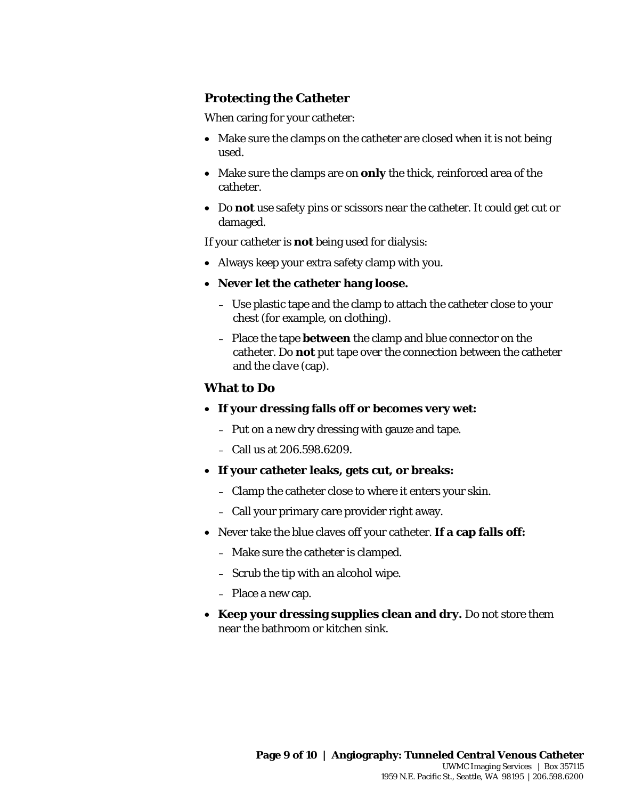#### **Protecting the Catheter**

When caring for your catheter:

- Make sure the clamps on the catheter are closed when it is not being used.
- Make sure the clamps are on **only** the thick, reinforced area of the catheter.
- Do **not** use safety pins or scissors near the catheter. It could get cut or damaged.

If your catheter is **not** being used for dialysis:

- Always keep your extra safety clamp with you.
- **Never let the catheter hang loose.**
	- Use plastic tape and the clamp to attach the catheter close to your chest (for example, on clothing).
- Use plastic tape and the clamp to attach the catheter close to your<br>chest (for example, on clothing).<br>- Place the tape **between** the clamp and blue connector on the<br>catheter. Do **not** put tape over the connection between – Place the tape **between** the clamp and blue connector on the catheter. Do **not** put tape over the connection between the catheter and the *clave* (cap).

#### **What to Do**

- **If your dressing falls off or becomes very wet:** 
	- Put on a new dry dressing with gauze and tape.
	- Call us at 206.598.6209.
- **If your catheter leaks, gets cut, or breaks:**
	- Clamp the catheter close to where it enters your skin.
	- Call your primary care provider right away.
- Never take the blue claves off your catheter. **If a cap falls off:**
	- Make sure the catheter is clamped.
	- Scrub the tip with an alcohol wipe.

 $\_$  ,  $\_$  ,  $\_$  ,  $\_$  ,  $\_$  ,  $\_$  ,  $\_$  ,  $\_$  ,  $\_$  ,  $\_$  ,  $\_$  ,  $\_$  ,  $\_$  ,  $\_$  ,  $\_$  ,  $\_$  ,  $\_$  ,  $\_$  ,  $\_$  ,  $\_$  ,  $\_$  ,  $\_$  ,  $\_$  ,  $\_$  ,  $\_$  ,  $\_$  ,  $\_$  ,  $\_$  ,  $\_$  ,  $\_$  ,  $\_$  ,  $\_$  ,  $\_$  ,  $\_$  ,  $\_$  ,  $\_$  ,  $\_$  ,

- Place a new cap.
- **Keep your dressing supplies clean and dry.** Do not store them near the bathroom or kitchen sink.